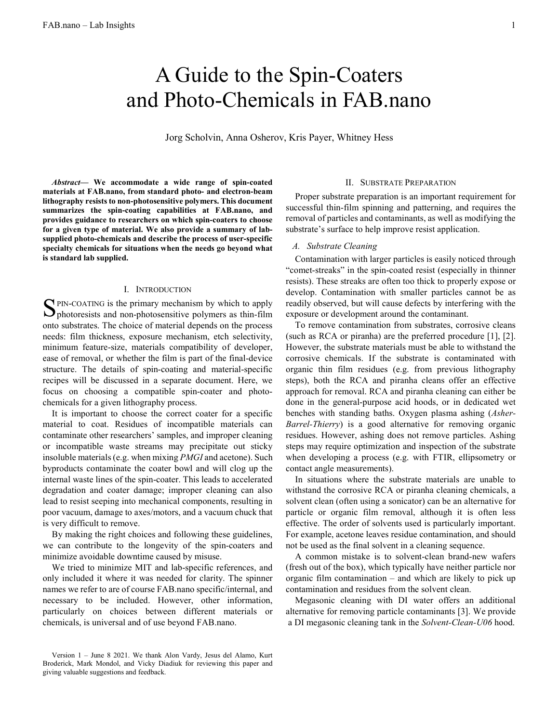# A Guide to the Spin-Coaters and Photo-Chemicals in FAB.nano

Jorg Scholvin, Anna Osherov, Kris Payer, Whitney Hess

Abstract— We accommodate a wide range of spin-coated materials at FAB.nano, from standard photo- and electron-beam lithography resists to non-photosensitive polymers. This document summarizes the spin-coating capabilities at FAB.nano, and provides guidance to researchers on which spin-coaters to choose for a given type of material. We also provide a summary of labsupplied photo-chemicals and describe the process of user-specific specialty chemicals for situations when the needs go beyond what is standard lab supplied.

#### I. INTRODUCTION

PIN-COATING is the primary mechanism by which to apply  $S_{\text{PIN-COATING}}$  is the primary mechanism by which to apply photoresists and non-photosensitive polymers as thin-film onto substrates. The choice of material depends on the process needs: film thickness, exposure mechanism, etch selectivity, minimum feature-size, materials compatibility of developer, ease of removal, or whether the film is part of the final-device structure. The details of spin-coating and material-specific recipes will be discussed in a separate document. Here, we focus on choosing a compatible spin-coater and photochemicals for a given lithography process.

It is important to choose the correct coater for a specific material to coat. Residues of incompatible materials can contaminate other researchers' samples, and improper cleaning or incompatible waste streams may precipitate out sticky insoluble materials (e.g. when mixing PMGI and acetone). Such byproducts contaminate the coater bowl and will clog up the internal waste lines of the spin-coater. This leads to accelerated degradation and coater damage; improper cleaning can also lead to resist seeping into mechanical components, resulting in poor vacuum, damage to axes/motors, and a vacuum chuck that is very difficult to remove.

By making the right choices and following these guidelines, we can contribute to the longevity of the spin-coaters and minimize avoidable downtime caused by misuse.

We tried to minimize MIT and lab-specific references, and only included it where it was needed for clarity. The spinner names we refer to are of course FAB.nano specific/internal, and necessary to be included. However, other information, particularly on choices between different materials or chemicals, is universal and of use beyond FAB.nano.

Proper substrate preparation is an important requirement for successful thin-film spinning and patterning, and requires the removal of particles and contaminants, as well as modifying the substrate's surface to help improve resist application.

# A. Substrate Cleaning

Contamination with larger particles is easily noticed through "comet-streaks" in the spin-coated resist (especially in thinner resists). These streaks are often too thick to properly expose or develop. Contamination with smaller particles cannot be as readily observed, but will cause defects by interfering with the exposure or development around the contaminant.

To remove contamination from substrates, corrosive cleans (such as RCA or piranha) are the preferred procedure [1], [2]. However, the substrate materials must be able to withstand the corrosive chemicals. If the substrate is contaminated with organic thin film residues (e.g. from previous lithography steps), both the RCA and piranha cleans offer an effective approach for removal. RCA and piranha cleaning can either be done in the general-purpose acid hoods, or in dedicated wet benches with standing baths. Oxygen plasma ashing (Asher-Barrel-Thierry) is a good alternative for removing organic residues. However, ashing does not remove particles. Ashing steps may require optimization and inspection of the substrate when developing a process (e.g. with FTIR, ellipsometry or contact angle measurements).

In situations where the substrate materials are unable to withstand the corrosive RCA or piranha cleaning chemicals, a solvent clean (often using a sonicator) can be an alternative for particle or organic film removal, although it is often less effective. The order of solvents used is particularly important. For example, acetone leaves residue contamination, and should not be used as the final solvent in a cleaning sequence.

A common mistake is to solvent-clean brand-new wafers (fresh out of the box), which typically have neither particle nor organic film contamination – and which are likely to pick up contamination and residues from the solvent clean.

Megasonic cleaning with DI water offers an additional alternative for removing particle contaminants [3]. We provide a DI megasonic cleaning tank in the Solvent-Clean-U06 hood.

II. SUBSTRATE PREPARATION

Version 1 – June 8 2021. We thank Alon Vardy, Jesus del Alamo, Kurt Broderick, Mark Mondol, and Vicky Diadiuk for reviewing this paper and giving valuable suggestions and feedback.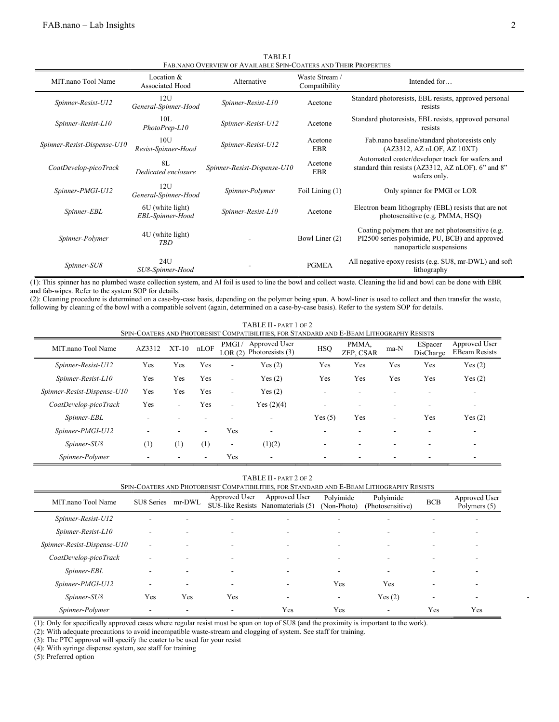| FAB.NANO OVERVIEW OF AVAILABLE SPIN-COATERS AND THEIR PROPERTIES |                                      |                             |                                 |                                                                                                                                  |  |  |  |  |
|------------------------------------------------------------------|--------------------------------------|-----------------------------|---------------------------------|----------------------------------------------------------------------------------------------------------------------------------|--|--|--|--|
| MIT.nano Tool Name                                               | Location $&$<br>Associated Hood      | Alternative                 | Waste Stream /<br>Compatibility | Intended for                                                                                                                     |  |  |  |  |
| Spinner-Resist-U12                                               | 12U<br>General-Spinner-Hood          | Spinner-Resist-L10          | Acetone                         | Standard photoresists, EBL resists, approved personal<br>resists                                                                 |  |  |  |  |
| Spinner-Resist-L10                                               | 10L<br>PhotoPrep-L10                 | Spinner-Resist-U12          | Acetone                         | Standard photoresists, EBL resists, approved personal<br>resists                                                                 |  |  |  |  |
| Spinner-Resist-Dispense-U10                                      | 10U<br>Resist-Spinner-Hood           | Spinner-Resist-U12          | Acetone<br><b>EBR</b>           | Fab.nano baseline/standard photoresists only<br>(AZ3312, AZnLOF, AZ10XT)                                                         |  |  |  |  |
| CoatDevelop-picoTrack                                            | 8L<br>Dedicated enclosure            | Spinner-Resist-Dispense-U10 | Acetone<br><b>EBR</b>           | Automated coater/developer track for wafers and<br>standard thin resists (AZ3312, AZ nLOF). 6" and 8"<br>wafers only.            |  |  |  |  |
| Spinner-PMGI-U12                                                 | 12U<br>General-Spinner-Hood          | Spinner-Polymer             | Foil Lining (1)                 | Only spinner for PMGI or LOR                                                                                                     |  |  |  |  |
| Spinner-EBL                                                      | 6U (white light)<br>EBL-Spinner-Hood | Spinner-Resist-L10          | Acetone                         | Electron beam lithography (EBL) resists that are not<br>photosensitive (e.g. PMMA, HSQ)                                          |  |  |  |  |
| Spinner-Polymer                                                  | 4U (white light)<br><b>TBD</b>       |                             | Bowl Liner (2)                  | Coating polymers that are not photosensitive (e.g.<br>PI2500 series polyimide, PU, BCB) and approved<br>nanoparticle suspensions |  |  |  |  |
| Spinner-SU8                                                      | 24U<br>SU8-Spinner-Hood              |                             | <b>PGMEA</b>                    | All negative epoxy resists (e.g. SU8, mr-DWL) and soft<br>lithography                                                            |  |  |  |  |

TABLE I

(1): This spinner has no plumbed waste collection system, and Al foil is used to line the bowl and collect waste. Cleaning the lid and bowl can be done with EBR

and fab-wipes. Refer to the system SOP for details.

(2): Cleaning procedure is determined on a case-by-case basis, depending on the polymer being spun. A bowl-liner is used to collect and then transfer the waste, following by cleaning of the bowl with a compatible solvent (again, determined on a case-by-case basis). Refer to the system SOP for details.

| TABLE II - PART 1 OF 2 |  |  |
|------------------------|--|--|
|------------------------|--|--|

| SPIN-COATERS AND PHOTORESIST COMPATIBILITIES, FOR STANDARD AND E-BEAM LITHOGRAPHY RESISTS |                  |         |                          |                          |                                   |            |                    |      |                      |                                       |
|-------------------------------------------------------------------------------------------|------------------|---------|--------------------------|--------------------------|-----------------------------------|------------|--------------------|------|----------------------|---------------------------------------|
| MIT.nano Tool Name                                                                        | AZ3312           | $XT-10$ | nLOF                     | PMGI/<br>LOR(2)          | Approved User<br>Photoresists (3) | <b>HSO</b> | PMMA.<br>ZEP. CSAR | ma-N | ESpacer<br>DisCharge | Approved User<br><b>EBeam Resists</b> |
| Spinner-Resist-U12                                                                        | Yes              | Yes     | Yes                      | ۰                        | Yes(2)                            | Yes        | Yes                | Yes  | Yes                  | Yes $(2)$                             |
| Spinner-Resist-L10                                                                        | Yes              | Yes     | Yes                      | $\sim$                   | Yes(2)                            | Yes        | Yes                | Yes  | Yes                  | Yes(2)                                |
| Spinner-Resist-Dispense-U10                                                               | Yes              | Yes     | Yes                      | $\overline{\phantom{a}}$ | Yes $(2)$                         | ۰          |                    |      |                      |                                       |
| CoatDevelop-picoTrack                                                                     | Yes              | ۰       | Yes                      | $\sim$                   | Yes $(2)(4)$                      | ۰          | -                  | -    | -                    | $\overline{\phantom{a}}$              |
| Spinner-EBL                                                                               |                  |         | ۰                        |                          |                                   | Yes(5)     | Yes                | ۰    | Yes                  | Yes(2)                                |
| Spinner-PMGI-U12                                                                          |                  | -       | $\overline{\phantom{a}}$ | Yes                      | ۰                                 |            |                    |      |                      |                                       |
| Spinner-SU8                                                                               | $\left(1\right)$ | (1)     | (1)                      | ٠                        | (1)(2)                            | ۰          |                    |      | -                    | $\overline{\phantom{a}}$              |
| Spinner-Polymer                                                                           |                  |         | ۰                        | Yes                      |                                   |            |                    |      |                      |                                       |

TABLE II - PART 2 OF 2

| Spin-Coaters and Photoresist Compatibilities. For Standard and E-Beam Lithography Resists |  |  |
|-------------------------------------------------------------------------------------------|--|--|

| MIT.nano Tool Name          | SU8 Series mr-DWL |     | Approved User | Approved User<br>SU8-like Resists Nanomaterials (5) | Polyimide<br>(Non-Photo) | Polyimide<br>(Photosensitive) | <b>BCB</b> | Approved User<br>Polymers (5) |
|-----------------------------|-------------------|-----|---------------|-----------------------------------------------------|--------------------------|-------------------------------|------------|-------------------------------|
| Spinner-Resist-U12          |                   |     |               |                                                     |                          | ۰.                            |            |                               |
| Spinner-Resist-L10          | ۰                 |     |               | -                                                   |                          | $\overline{\phantom{a}}$      |            | -                             |
| Spinner-Resist-Dispense-U10 | ۰.                |     |               | $\overline{\phantom{a}}$                            |                          | ۰.                            |            |                               |
| CoatDevelop-picoTrack       | ۰                 |     |               | $\overline{\phantom{a}}$                            |                          | $\sim$                        | ۰          |                               |
| Spinner-EBL                 |                   |     |               |                                                     |                          | ۰.                            |            |                               |
| Spinner-PMGI-U12            | ۰                 | ۰   |               | ٠                                                   | Yes                      | Yes                           |            | -                             |
| Spinner-SU8                 | Yes               | Yes | Yes           | ۰                                                   | $\overline{\phantom{0}}$ | Yes(2)                        | ٠          |                               |
| Spinner-Polymer             |                   |     |               | Yes                                                 | Yes                      | $\overline{\phantom{a}}$      | Yes        | Yes                           |

(1): Only for specifically approved cases where regular resist must be spun on top of SU8 (and the proximity is important to the work).

(2): With adequate precautions to avoid incompatible waste-stream and clogging of system. See staff for training.

(3): The PTC approval will specify the coater to be used for your resist

(4): With syringe dispense system, see staff for training

(5): Preferred option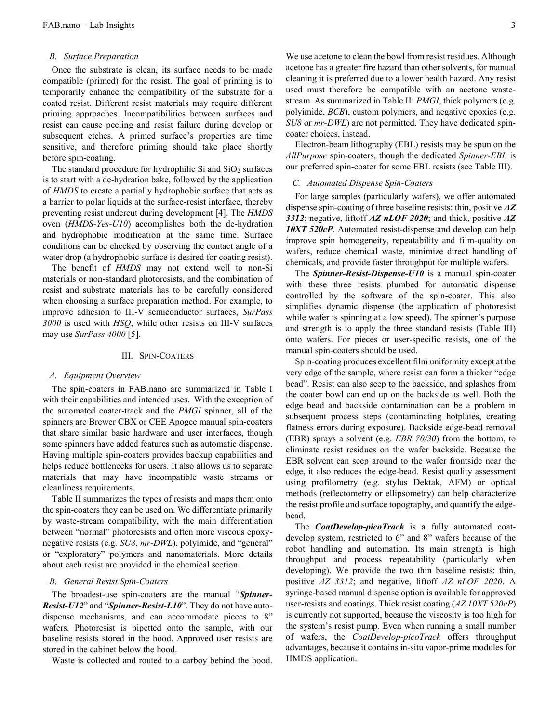#### B. Surface Preparation

Once the substrate is clean, its surface needs to be made compatible (primed) for the resist. The goal of priming is to temporarily enhance the compatibility of the substrate for a coated resist. Different resist materials may require different priming approaches. Incompatibilities between surfaces and resist can cause peeling and resist failure during develop or subsequent etches. A primed surface's properties are time sensitive, and therefore priming should take place shortly before spin-coating.

The standard procedure for hydrophilic Si and  $SiO<sub>2</sub>$  surfaces is to start with a de-hydration bake, followed by the application of HMDS to create a partially hydrophobic surface that acts as a barrier to polar liquids at the surface-resist interface, thereby preventing resist undercut during development [4]. The HMDS oven (HMDS-Yes-U10) accomplishes both the de-hydration and hydrophobic modification at the same time. Surface conditions can be checked by observing the contact angle of a water drop (a hydrophobic surface is desired for coating resist).

The benefit of HMDS may not extend well to non-Si materials or non-standard photoresists, and the combination of resist and substrate materials has to be carefully considered when choosing a surface preparation method. For example, to improve adhesion to III-V semiconductor surfaces, SurPass 3000 is used with HSQ, while other resists on III-V surfaces may use SurPass 4000 [5].

# III. SPIN-COATERS

# A. Equipment Overview

The spin-coaters in FAB.nano are summarized in Table I with their capabilities and intended uses. With the exception of the automated coater-track and the PMGI spinner, all of the spinners are Brewer CBX or CEE Apogee manual spin-coaters that share similar basic hardware and user interfaces, though some spinners have added features such as automatic dispense. Having multiple spin-coaters provides backup capabilities and helps reduce bottlenecks for users. It also allows us to separate materials that may have incompatible waste streams or cleanliness requirements.

Table II summarizes the types of resists and maps them onto the spin-coaters they can be used on. We differentiate primarily by waste-stream compatibility, with the main differentiation between "normal" photoresists and often more viscous epoxynegative resists (e.g. SU8, mr-DWL), polyimide, and "general" or "exploratory" polymers and nanomaterials. More details about each resist are provided in the chemical section.

#### B. General Resist Spin-Coaters

The broadest-use spin-coaters are the manual "Spinner-Resist-U12" and "Spinner-Resist-L10". They do not have autodispense mechanisms, and can accommodate pieces to 8" wafers. Photoresist is pipetted onto the sample, with our baseline resists stored in the hood. Approved user resists are stored in the cabinet below the hood.

Waste is collected and routed to a carboy behind the hood.

We use acetone to clean the bowl from resist residues. Although acetone has a greater fire hazard than other solvents, for manual cleaning it is preferred due to a lower health hazard. Any resist used must therefore be compatible with an acetone wastestream. As summarized in Table II: PMGI, thick polymers (e.g. polyimide, BCB), custom polymers, and negative epoxies (e.g. SU8 or mr-DWL) are not permitted. They have dedicated spincoater choices, instead.

Electron-beam lithography (EBL) resists may be spun on the AllPurpose spin-coaters, though the dedicated Spinner-EBL is our preferred spin-coater for some EBL resists (see Table III).

# C. Automated Dispense Spin-Coaters

For large samples (particularly wafers), we offer automated dispense spin-coating of three baseline resists: thin, positive AZ 3312; negative, liftoff  $\vec{AZ}$  nLOF 2020; and thick, positive  $\vec{AZ}$ 10XT 520cP. Automated resist-dispense and develop can help improve spin homogeneity, repeatability and film-quality on wafers, reduce chemical waste, minimize direct handling of chemicals, and provide faster throughput for multiple wafers.

The **Spinner-Resist-Dispense-U10** is a manual spin-coater with these three resists plumbed for automatic dispense controlled by the software of the spin-coater. This also simplifies dynamic dispense (the application of photoresist while wafer is spinning at a low speed). The spinner's purpose and strength is to apply the three standard resists (Table III) onto wafers. For pieces or user-specific resists, one of the manual spin-coaters should be used.

Spin-coating produces excellent film uniformity except at the very edge of the sample, where resist can form a thicker "edge bead". Resist can also seep to the backside, and splashes from the coater bowl can end up on the backside as well. Both the edge bead and backside contamination can be a problem in subsequent process steps (contaminating hotplates, creating flatness errors during exposure). Backside edge-bead removal (EBR) sprays a solvent (e.g. EBR 70/30) from the bottom, to eliminate resist residues on the wafer backside. Because the EBR solvent can seep around to the wafer frontside near the edge, it also reduces the edge-bead. Resist quality assessment using profilometry (e.g. stylus Dektak, AFM) or optical methods (reflectometry or ellipsometry) can help characterize the resist profile and surface topography, and quantify the edgebead.

The **CoatDevelop-picoTrack** is a fully automated coatdevelop system, restricted to 6" and 8" wafers because of the robot handling and automation. Its main strength is high throughput and process repeatability (particularly when developing). We provide the two thin baseline resists: thin, positive AZ 3312; and negative, liftoff AZ nLOF 2020. A syringe-based manual dispense option is available for approved user-resists and coatings. Thick resist coating (AZ 10XT 520cP) is currently not supported, because the viscosity is too high for the system's resist pump. Even when running a small number of wafers, the CoatDevelop-picoTrack offers throughput advantages, because it contains in-situ vapor-prime modules for HMDS application.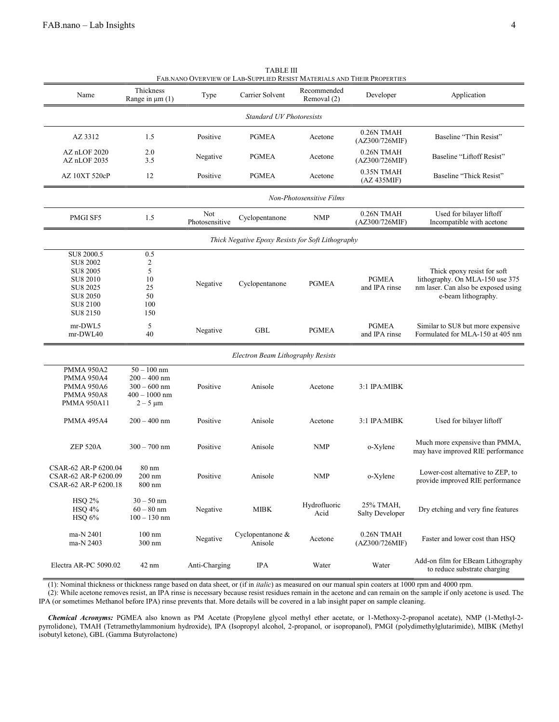|                                 |                                   |                       | FAB.NANO OVERVIEW OF LAB-SUPPLIED RESIST MATERIALS AND THEIR PROPERTIES |                            |                                |                                                                     |  |  |  |
|---------------------------------|-----------------------------------|-----------------------|-------------------------------------------------------------------------|----------------------------|--------------------------------|---------------------------------------------------------------------|--|--|--|
| Name                            | Thickness<br>Range in $\mu$ m (1) | Type                  | Carrier Solvent                                                         | Recommended<br>Removal (2) | Developer                      | Application                                                         |  |  |  |
| <b>Standard UV Photoresists</b> |                                   |                       |                                                                         |                            |                                |                                                                     |  |  |  |
| AZ 3312                         | 1.5                               | Positive              | <b>PGMEA</b>                                                            | Acetone                    | $0.26N$ TMAH<br>(AZ300/726MIF) | Baseline "Thin Resist"                                              |  |  |  |
| AZ nLOF 2020<br>AZ nLOF 2035    | 2.0<br>3.5                        | Negative              | <b>PGMEA</b>                                                            | Acetone                    | 0.26N TMAH<br>(AZ300/726MIF)   | Baseline "Liftoff Resist"                                           |  |  |  |
| AZ 10XT 520cP                   | 12                                | Positive              | <b>PGMEA</b>                                                            | Acetone                    | 0.35N TMAH<br>(AZ 435MIF)      | Baseline "Thick Resist"                                             |  |  |  |
| Non-Photosensitive Films        |                                   |                       |                                                                         |                            |                                |                                                                     |  |  |  |
| PMGI SF5                        | 1.5                               | Not<br>Photosensitive | Cyclopentanone                                                          | <b>NMP</b>                 | 0.26N TMAH<br>(AZ300/726MIF)   | Used for bilayer liftoff<br>Incompatible with acetone               |  |  |  |
|                                 |                                   |                       | Thick Negative Epoxy Resists for Soft Lithography                       |                            |                                |                                                                     |  |  |  |
| SU8 2000.5                      | 0.5                               |                       |                                                                         |                            |                                |                                                                     |  |  |  |
| SU8 2002                        | 2                                 |                       |                                                                         |                            |                                |                                                                     |  |  |  |
| SU8 2005                        | 5                                 |                       |                                                                         |                            |                                | Thick epoxy resist for soft                                         |  |  |  |
| SU8 2010                        | 10                                |                       | Cyclopentanone                                                          | <b>PGMEA</b>               | <b>PGMEA</b>                   | lithography. On MLA-150 use 375                                     |  |  |  |
| SU8 2025                        | 25                                | Negative              |                                                                         |                            | and IPA rinse                  | nm laser. Can also be exposed using                                 |  |  |  |
| SU8 2050                        | 50                                |                       |                                                                         |                            |                                | e-beam lithography.                                                 |  |  |  |
| SU8 2100                        | 100                               |                       |                                                                         |                            |                                |                                                                     |  |  |  |
| SU8 2150                        | 150                               |                       |                                                                         |                            |                                |                                                                     |  |  |  |
|                                 |                                   |                       |                                                                         |                            |                                |                                                                     |  |  |  |
| mr-DWL5                         | 5                                 | Negative              | GBL                                                                     | <b>PGMEA</b>               | <b>PGMEA</b>                   | Similar to SU8 but more expensive                                   |  |  |  |
| mr-DWL40                        | 40                                |                       |                                                                         |                            | and IPA rinse                  | Formulated for MLA-150 at 405 nm                                    |  |  |  |
|                                 |                                   |                       | Electron Beam Lithography Resists                                       |                            |                                |                                                                     |  |  |  |
| <b>PMMA 950A2</b>               | $50 - 100$ nm                     |                       |                                                                         |                            |                                |                                                                     |  |  |  |
| <b>PMMA 950A4</b>               | $200 - 400$ nm                    |                       |                                                                         |                            |                                |                                                                     |  |  |  |
| <b>PMMA 950A6</b>               | $300 - 600$ nm                    | Positive              | Anisole                                                                 |                            | 3:1 IPA:MIBK                   |                                                                     |  |  |  |
|                                 |                                   |                       |                                                                         | Acetone                    |                                |                                                                     |  |  |  |
| <b>PMMA 950A8</b>               | $400 - 1000$ nm                   |                       |                                                                         |                            |                                |                                                                     |  |  |  |
| <b>PMMA 950A11</b>              | $2 - 5 \mu m$                     |                       |                                                                         |                            |                                |                                                                     |  |  |  |
| <b>PMMA 495A4</b>               | $200 - 400$ nm                    | Positive              | Anisole                                                                 | Acetone                    | 3:1 IPA:MIBK                   | Used for bilayer liftoff                                            |  |  |  |
| <b>ZEP 520A</b>                 | $300 - 700$ nm                    | Positive              | Anisole                                                                 | <b>NMP</b>                 | o-Xylene                       | Much more expensive than PMMA,<br>may have improved RIE performance |  |  |  |
|                                 |                                   |                       |                                                                         |                            |                                |                                                                     |  |  |  |
| CSAR-62 AR-P 6200.04            | $80 \text{ nm}$                   |                       |                                                                         |                            |                                |                                                                     |  |  |  |
| CSAR-62 AR-P 6200.09            | $200 \text{ nm}$                  | Positive              | Anisole                                                                 | <b>NMP</b>                 | o-Xylene                       | Lower-cost alternative to ZEP, to                                   |  |  |  |
| CSAR-62 AR-P 6200.18            | $800 \text{ nm}$                  |                       |                                                                         |                            |                                | provide improved RIE performance                                    |  |  |  |
|                                 |                                   |                       |                                                                         |                            |                                |                                                                     |  |  |  |
| <b>HSQ 2%</b>                   | $30 - 50$ nm                      |                       |                                                                         |                            |                                |                                                                     |  |  |  |
| <b>HSQ 4%</b>                   | $60 - 80$ nm                      | Negative              | <b>MIBK</b>                                                             | Hydrofluoric               | 25% TMAH,                      | Dry etching and very fine features                                  |  |  |  |
| $HSQ$ 6%                        | $100 - 130$ nm                    |                       |                                                                         | Acid                       | Salty Developer                |                                                                     |  |  |  |
|                                 |                                   |                       |                                                                         |                            |                                |                                                                     |  |  |  |
| ma-N 2401                       | $100 \text{ nm}$                  |                       | Cyclopentanone &                                                        |                            | 0.26N TMAH                     |                                                                     |  |  |  |
| ma-N 2403                       | $300 \text{ nm}$                  | Negative              | Anisole                                                                 | Acetone                    | (AZ300/726MIF)                 | Faster and lower cost than HSQ                                      |  |  |  |
|                                 |                                   |                       |                                                                         |                            |                                |                                                                     |  |  |  |
| Electra AR-PC 5090.02           | 42 nm                             | Anti-Charging         | <b>IPA</b>                                                              | Water                      | Water                          | Add-on film for EBeam Lithography<br>to reduce substrate charging   |  |  |  |

TABLE III

(1): Nominal thickness or thickness range based on data sheet, or (if in italic) as measured on our manual spin coaters at 1000 rpm and 4000 rpm.

(2): While acetone removes resist, an IPA rinse is necessary because resist residues remain in the acetone and can remain on the sample if only acetone is used. The IPA (or sometimes Methanol before IPA) rinse prevents that. More details will be covered in a lab insight paper on sample cleaning.

Chemical Acronyms: PGMEA also known as PM Acetate (Propylene glycol methyl ether acetate, or 1-Methoxy-2-propanol acetate), NMP (1-Methyl-2 pyrrolidone), TMAH (Tetramethylammonium hydroxide), IPA (Isopropyl alcohol, 2-propanol, or isopropanol), PMGI (polydimethylglutarimide), MIBK (Methyl isobutyl ketone), GBL (Gamma Butyrolactone)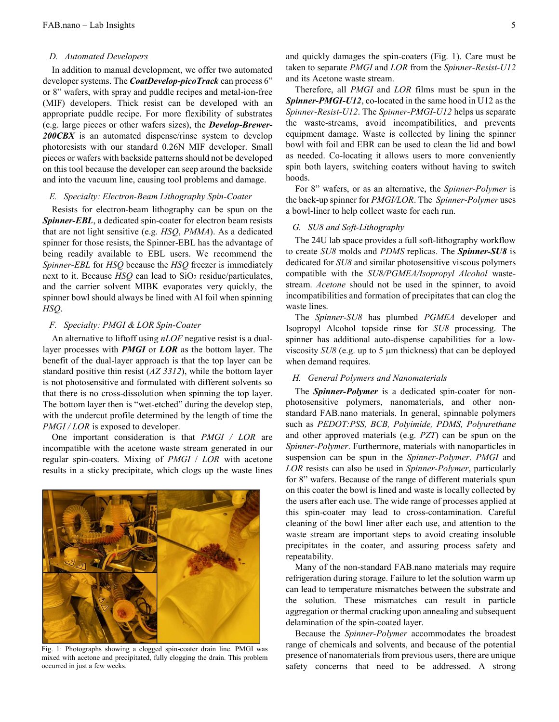#### D. Automated Developers

In addition to manual development, we offer two automated developer systems. The *CoatDevelop-picoTrack* can process 6" or 8" wafers, with spray and puddle recipes and metal-ion-free (MIF) developers. Thick resist can be developed with an appropriate puddle recipe. For more flexibility of substrates (e.g. large pieces or other wafers sizes), the Develop-Brewer-200CBX is an automated dispense/rinse system to develop photoresists with our standard 0.26N MIF developer. Small pieces or wafers with backside patterns should not be developed on this tool because the developer can seep around the backside and into the vacuum line, causing tool problems and damage.

#### E. Specialty: Electron-Beam Lithography Spin-Coater

Resists for electron-beam lithography can be spun on the Spinner-EBL, a dedicated spin-coater for electron beam resists that are not light sensitive (e.g. HSQ, PMMA). As a dedicated spinner for those resists, the Spinner-EBL has the advantage of being readily available to EBL users. We recommend the Spinner-EBL for HSQ because the HSQ freezer is immediately next to it. Because  $HSQ$  can lead to  $SiO<sub>2</sub>$  residue/particulates, and the carrier solvent MIBK evaporates very quickly, the spinner bowl should always be lined with Al foil when spinning HSQ.

### F. Specialty: PMGI & LOR Spin-Coater

An alternative to liftoff using *nLOF* negative resist is a duallayer processes with **PMGI** or **LOR** as the bottom layer. The benefit of the dual-layer approach is that the top layer can be standard positive thin resist (AZ 3312), while the bottom layer is not photosensitive and formulated with different solvents so that there is no cross-dissolution when spinning the top layer. The bottom layer then is "wet-etched" during the develop step, with the undercut profile determined by the length of time the  $PMGI / LOR$  is exposed to developer.

One important consideration is that PMGI / LOR are incompatible with the acetone waste stream generated in our regular spin-coaters. Mixing of PMGI / LOR with acetone results in a sticky precipitate, which clogs up the waste lines



Fig. 1: Photographs showing a clogged spin-coater drain line. PMGI was mixed with acetone and precipitated, fully clogging the drain. This problem occurred in just a few weeks.

and quickly damages the spin-coaters (Fig. 1). Care must be taken to separate PMGI and LOR from the Spinner-Resist-U12 and its Acetone waste stream.

Therefore, all PMGI and LOR films must be spun in the Spinner-PMGI-U12, co-located in the same hood in U12 as the Spinner-Resist-U12. The Spinner-PMGI-U12 helps us separate the waste-streams, avoid incompatibilities, and prevents equipment damage. Waste is collected by lining the spinner bowl with foil and EBR can be used to clean the lid and bowl as needed. Co-locating it allows users to more conveniently spin both layers, switching coaters without having to switch hoods.

For 8" wafers, or as an alternative, the *Spinner-Polymer* is the back-up spinner for PMGI/LOR. The Spinner-Polymer uses a bowl-liner to help collect waste for each run.

# G. SU8 and Soft-Lithography

The 24U lab space provides a full soft-lithography workflow to create SU8 molds and PDMS replicas. The Spinner-SU8 is dedicated for  $SU8$  and similar photosensitive viscous polymers compatible with the SU8/PGMEA/Isopropyl Alcohol wastestream. Acetone should not be used in the spinner, to avoid incompatibilities and formation of precipitates that can clog the waste lines.

The Spinner-SU8 has plumbed PGMEA developer and Isopropyl Alcohol topside rinse for SU8 processing. The spinner has additional auto-dispense capabilities for a lowviscosity SU8 (e.g. up to 5 µm thickness) that can be deployed when demand requires.

# H. General Polymers and Nanomaterials

The **Spinner-Polymer** is a dedicated spin-coater for nonphotosensitive polymers, nanomaterials, and other nonstandard FAB.nano materials. In general, spinnable polymers such as PEDOT:PSS, BCB, Polyimide, PDMS, Polyurethane and other approved materials (e.g. PZT) can be spun on the Spinner-Polymer. Furthermore, materials with nanoparticles in suspension can be spun in the Spinner-Polymer. PMGI and LOR resists can also be used in Spinner-Polymer, particularly for 8" wafers. Because of the range of different materials spun on this coater the bowl is lined and waste is locally collected by the users after each use. The wide range of processes applied at this spin-coater may lead to cross-contamination. Careful cleaning of the bowl liner after each use, and attention to the waste stream are important steps to avoid creating insoluble precipitates in the coater, and assuring process safety and repeatability.

Many of the non-standard FAB.nano materials may require refrigeration during storage. Failure to let the solution warm up can lead to temperature mismatches between the substrate and the solution. These mismatches can result in particle aggregation or thermal cracking upon annealing and subsequent delamination of the spin-coated layer.

Because the Spinner-Polymer accommodates the broadest range of chemicals and solvents, and because of the potential presence of nanomaterials from previous users, there are unique safety concerns that need to be addressed. A strong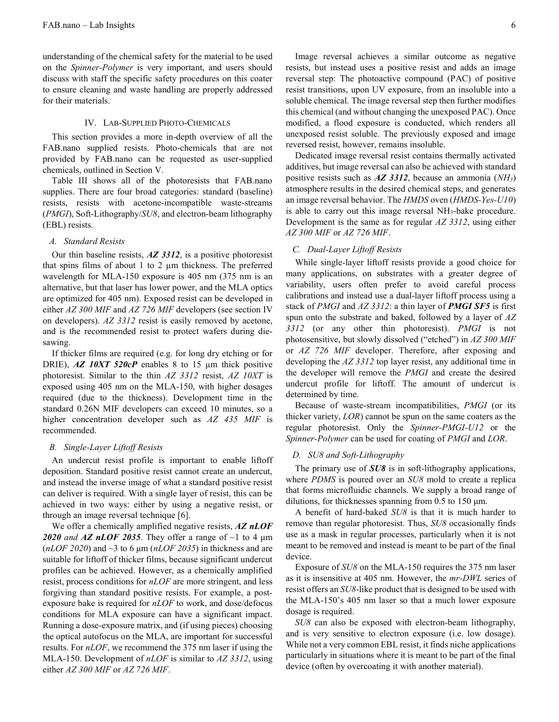understanding of the chemical safety for the material to be used on the Spinner-Polymer is very important, and users should discuss with staff the specific safety procedures on this coater to ensure cleaning and waste handling are properly addressed for their materials.

### IV. LAB-SUPPLIED PHOTO-CHEMICALS

This section provides a more in-depth overview of all the FAB.nano supplied resists. Photo-chemicals that are not provided by FAB.nano can be requested as user-supplied chemicals, outlined in Section V.

Table III shows all of the photoresists that FAB.nano supplies. There are four broad categories: standard (baseline) resists, resists with acetone-incompatible waste-streams (PMGI), Soft-Lithography/SU8, and electron-beam lithography (EBL) resists.

### A. Standard Resists

Our thin baseline resists, AZ 3312, is a positive photoresist that spins films of about 1 to 2 µm thickness. The preferred wavelength for MLA-150 exposure is 405 nm (375 nm is an alternative, but that laser has lower power, and the MLA optics are optimized for 405 nm). Exposed resist can be developed in either AZ 300 MIF and AZ 726 MIF developers (see section IV on developers). AZ 3312 resist is easily removed by acetone, and is the recommended resist to protect wafers during diesawing.

If thicker films are required (e.g. for long dry etching or for DRIE),  $AZ$  10XT 520 $cP$  enables 8 to 15  $\mu$ m thick positive photoresist. Similar to the thin AZ 3312 resist, AZ 10XT is exposed using 405 nm on the MLA-150, with higher dosages required (due to the thickness). Development time in the standard 0.26N MIF developers can exceed 10 minutes, so a higher concentration developer such as AZ 435 MIF is recommended.

#### B. Single-Layer Liftoff Resists

An undercut resist profile is important to enable liftoff deposition. Standard positive resist cannot create an undercut, and instead the inverse image of what a standard positive resist can deliver is required. With a single layer of resist, this can be achieved in two ways: either by using a negative resist, or through an image reversal technique [6].

We offer a chemically amplified negative resists,  $AZ$  nLOF 2020 and AZ nLOF 2035. They offer a range of  $\sim$ 1 to 4  $\mu$ m  $(nLOF 2020)$  and  $\sim$ 3 to 6  $\mu$ m  $(nLOF 2035)$  in thickness and are suitable for liftoff of thicker films, because significant undercut profiles can be achieved. However, as a chemically amplified resist, process conditions for *nLOF* are more stringent, and less forgiving than standard positive resists. For example, a postexposure bake is required for  $nLOF$  to work, and dose/defocus conditions for MLA exposure can have a significant impact. Running a dose-exposure matrix, and (if using pieces) choosing the optical autofocus on the MLA, are important for successful results. For *nLOF*, we recommend the 375 nm laser if using the MLA-150. Development of  $nLOF$  is similar to AZ 3312, using either AZ 300 MIF or AZ 726 MIF.

Image reversal achieves a similar outcome as negative resists, but instead uses a positive resist and adds an image reversal step: The photoactive compound (PAC) of positive resist transitions, upon UV exposure, from an insoluble into a soluble chemical. The image reversal step then further modifies this chemical (and without changing the unexposed PAC). Once modified, a flood exposure is conducted, which renders all unexposed resist soluble. The previously exposed and image reversed resist, however, remains insoluble.

Dedicated image reversal resist contains thermally activated additives, but image reversal can also be achieved with standard positive resists such as  $\overline{AZ}$  3312, because an ammonia ( $\overline{NH_3}$ ) atmosphere results in the desired chemical steps, and generates an image reversal behavior. The HMDS oven (HMDS-Yes-U10) is able to carry out this image reversal NH3-bake procedure. Development is the same as for regular AZ 3312, using either AZ 300 MIF or AZ 726 MIF.

# C. Dual-Layer Liftoff Resists

While single-layer liftoff resists provide a good choice for many applications, on substrates with a greater degree of variability, users often prefer to avoid careful process calibrations and instead use a dual-layer liftoff process using a stack of *PMGI* and AZ 3312: a thin layer of **PMGI SF5** is first spun onto the substrate and baked, followed by a layer of AZ 3312 (or any other thin photoresist). *PMGI* is not photosensitive, but slowly dissolved ("etched") in AZ 300 MIF or AZ 726 MIF developer. Therefore, after exposing and developing the AZ 3312 top layer resist, any additional time in the developer will remove the PMGI and create the desired undercut profile for liftoff. The amount of undercut is determined by time.

Because of waste-stream incompatibilities, PMGI (or its thicker variety, LOR) cannot be spun on the same coaters as the regular photoresist. Only the Spinner-PMGI-U12 or the Spinner-Polymer can be used for coating of PMGI and LOR.

# D. SU8 and Soft-Lithography

The primary use of **SU8** is in soft-lithography applications, where PDMS is poured over an SU8 mold to create a replica that forms microfluidic channels. We supply a broad range of dilutions, for thicknesses spanning from 0.5 to 150 μm.

A benefit of hard-baked SU8 is that it is much harder to remove than regular photoresist. Thus, SU8 occasionally finds use as a mask in regular processes, particularly when it is not meant to be removed and instead is meant to be part of the final device.

Exposure of SU8 on the MLA-150 requires the 375 nm laser as it is insensitive at 405 nm. However, the mr-DWL series of resist offers an SU8-like product that is designed to be used with the MLA-150's 405 nm laser so that a much lower exposure dosage is required.

SU8 can also be exposed with electron-beam lithography, and is very sensitive to electron exposure (i.e. low dosage). While not a very common EBL resist, it finds niche applications particularly in situations where it is meant to be part of the final device (often by overcoating it with another material).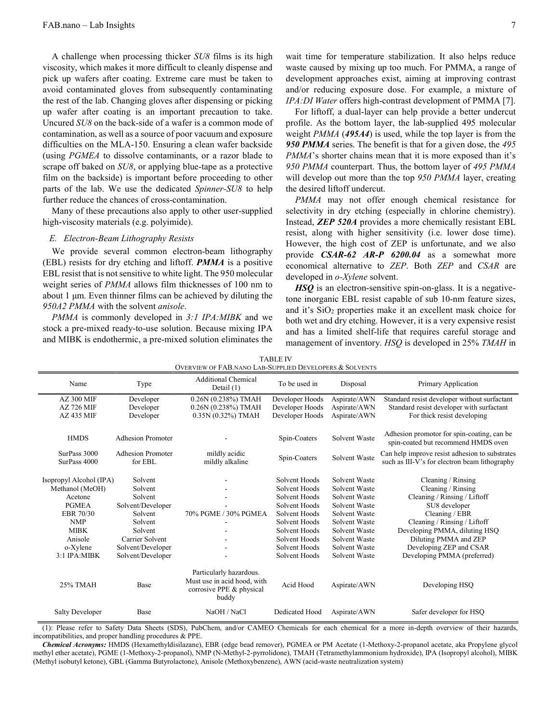A challenge when processing thicker SU8 films is its high viscosity, which makes it more difficult to cleanly dispense and pick up wafers after coating. Extreme care must be taken to avoid contaminated gloves from subsequently contaminating the rest of the lab. Changing gloves after dispensing or picking up wafer after coating is an important precaution to take. Uncured SU8 on the back-side of a wafer is a common mode of contamination, as well as a source of poor vacuum and exposure difficulties on the MLA-150. Ensuring a clean wafer backside (using PGMEA to dissolve contaminants, or a razor blade to scrape off baked on  $SU8$ , or applying blue-tape as a protective film on the backside) is important before proceeding to other parts of the lab. We use the dedicated Spinner-SU8 to help further reduce the chances of cross-contamination.

Many of these precautions also apply to other user-supplied high-viscosity materials (e.g. polyimide).

#### E. Electron-Beam Lithography Resists

We provide several common electron-beam lithography (EBL) resists for dry etching and liftoff. PMMA is a positive EBL resist that is not sensitive to white light. The 950 molecular weight series of PMMA allows film thicknesses of 100 nm to about 1 μm. Even thinner films can be achieved by diluting the 950A2 PMMA with the solvent anisole.

PMMA is commonly developed in 3:1 IPA: MIBK and we stock a pre-mixed ready-to-use solution. Because mixing IPA and MIBK is endothermic, a pre-mixed solution eliminates the wait time for temperature stabilization. It also helps reduce waste caused by mixing up too much. For PMMA, a range of development approaches exist, aiming at improving contrast and/or reducing exposure dose. For example, a mixture of IPA:DI Water offers high-contrast development of PMMA [7].

For liftoff, a dual-layer can help provide a better undercut profile. As the bottom layer, the lab-supplied 495 molecular weight PMMA (495A4) is used, while the top layer is from the 950 PMMA series. The benefit is that for a given dose, the 495 PMMA's shorter chains mean that it is more exposed than it's 950 PMMA counterpart. Thus, the bottom layer of 495 PMMA will develop out more than the top 950 PMMA layer, creating the desired liftoff undercut.

PMMA may not offer enough chemical resistance for selectivity in dry etching (especially in chlorine chemistry). Instead, ZEP 520A provides a more chemically resistant EBL resist, along with higher sensitivity (i.e. lower dose time). However, the high cost of ZEP is unfortunate, and we also provide CSAR-62 AR-P 6200.04 as a somewhat more economical alternative to ZEP. Both ZEP and CSAR are developed in o-Xylene solvent.

HSQ is an electron-sensitive spin-on-glass. It is a negativetone inorganic EBL resist capable of sub 10-nm feature sizes, and it's  $SiO<sub>2</sub>$  properties make it an excellent mask choice for both wet and dry etching. However, it is a very expensive resist and has a limited shelf-life that requires careful storage and management of inventory. HSQ is developed in 25% TMAH in

| <b>OVERVIEW OF FAB.NANO LAB-SUPPLIED DEVELOPERS &amp; SOLVENTS</b> |                          |                                                                                             |                 |               |                                                                                   |  |  |
|--------------------------------------------------------------------|--------------------------|---------------------------------------------------------------------------------------------|-----------------|---------------|-----------------------------------------------------------------------------------|--|--|
| Name                                                               | Type                     | <b>Additional Chemical</b><br>Detail $(1)$                                                  | To be used in   | Disposal      | Primary Application                                                               |  |  |
| AZ 300 MIF                                                         | Developer                | 0.26N (0.238%) TMAH                                                                         | Developer Hoods | Aspirate/AWN  | Standard resist developer without surfactant                                      |  |  |
| <b>AZ 726 MIF</b>                                                  | Developer                | $0.26N(0.238%)$ TMAH                                                                        | Developer Hoods | Aspirate/AWN  | Standard resist developer with surfactant                                         |  |  |
| <b>AZ 435 MIF</b>                                                  | Developer                | 0.35N (0.32%) TMAH                                                                          | Developer Hoods | Aspirate/AWN  | For thick resist developing                                                       |  |  |
|                                                                    |                          |                                                                                             |                 |               |                                                                                   |  |  |
| <b>HMDS</b>                                                        | <b>Adhesion Promoter</b> |                                                                                             | Spin-Coaters    | Solvent Waste | Adhesion promotor for spin-coating, can be<br>spin-coated but recommend HMDS oven |  |  |
| SurPass 3000                                                       | <b>Adhesion Promoter</b> | mildly acidic                                                                               |                 |               | Can help improve resist adhesion to substrates                                    |  |  |
| SurPass 4000                                                       | for EBL                  | mildly alkaline                                                                             | Spin-Coaters    | Solvent Waste | such as III-V's for electron beam lithography                                     |  |  |
|                                                                    |                          |                                                                                             |                 |               |                                                                                   |  |  |
| Isopropyl Alcohol (IPA)                                            | Solvent                  |                                                                                             | Solvent Hoods   | Solvent Waste | Cleaning / Rinsing                                                                |  |  |
| Methanol (MeOH)                                                    | Solvent                  |                                                                                             | Solvent Hoods   | Solvent Waste | Cleaning / Rinsing                                                                |  |  |
| Acetone                                                            | Solvent                  |                                                                                             | Solvent Hoods   | Solvent Waste | Cleaning / Rinsing / Liftoff                                                      |  |  |
| <b>PGMEA</b>                                                       | Solvent/Developer        |                                                                                             | Solvent Hoods   | Solvent Waste | SU8 developer                                                                     |  |  |
| EBR 70/30                                                          | Solvent                  | 70% PGME / 30% PGMEA                                                                        | Solvent Hoods   | Solvent Waste | Cleaning / EBR                                                                    |  |  |
| <b>NMP</b>                                                         | Solvent                  |                                                                                             | Solvent Hoods   | Solvent Waste | Cleaning / Rinsing / Liftoff                                                      |  |  |
| <b>MIBK</b>                                                        | Solvent                  |                                                                                             | Solvent Hoods   | Solvent Waste | Developing PMMA, diluting HSQ                                                     |  |  |
| Anisole                                                            | Carrier Solvent          |                                                                                             | Solvent Hoods   | Solvent Waste | Diluting PMMA and ZEP                                                             |  |  |
| o-Xylene                                                           | Solvent/Developer        |                                                                                             | Solvent Hoods   | Solvent Waste | Developing ZEP and CSAR                                                           |  |  |
| 3:1 IPA:MIBK                                                       | Solvent/Developer        |                                                                                             | Solvent Hoods   | Solvent Waste | Developing PMMA (preferred)                                                       |  |  |
| 25% TMAH                                                           | Base                     | Particularly hazardous.<br>Must use in acid hood, with<br>corrosive PPE & physical<br>buddy | Acid Hood       | Aspirate/AWN  | Developing HSQ                                                                    |  |  |
| <b>Salty Developer</b>                                             | Base                     | NaOH / NaCl                                                                                 | Dedicated Hood  | Aspirate/AWN  | Safer developer for HSQ                                                           |  |  |

TABLE IV

(1): Please refer to Safety Data Sheets (SDS), PubChem, and/or CAMEO Chemicals for each chemical for a more in-depth overview of their hazards, incompatibilities, and proper handling procedures & PPE.

Chemical Acronyms: HMDS (Hexamethyldisilazane), EBR (edge bead remover), PGMEA or PM Acetate (1-Methoxy-2-propanol acetate, aka Propylene glycol methyl ether acetate), PGME (1-Methoxy-2-propanol), NMP (N-Methyl-2-pyrrolidone), TMAH (Tetramethylammonium hydroxide), IPA (Isopropyl alcohol), MIBK (Methyl isobutyl ketone), GBL (Gamma Butyrolactone), Anisole (Methoxybenzene), AWN (acid-waste neutralization system)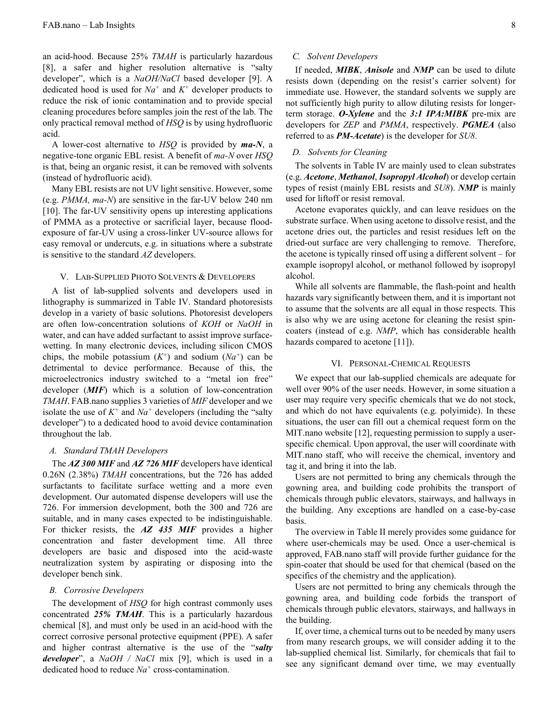an acid-hood. Because 25% TMAH is particularly hazardous [8], a safer and higher resolution alternative is "salty developer", which is a NaOH/NaCl based developer [9]. A dedicated hood is used for  $Na^+$  and  $K^+$  developer products to reduce the risk of ionic contamination and to provide special cleaning procedures before samples join the rest of the lab. The only practical removal method of HSQ is by using hydrofluoric acid.

A lower-cost alternative to  $HSQ$  is provided by  $ma-N$ , a negative-tone organic EBL resist. A benefit of ma-N over HSQ is that, being an organic resist, it can be removed with solvents (instead of hydrofluoric acid).

Many EBL resists are not UV light sensitive. However, some (e.g. PMMA, ma-N) are sensitive in the far-UV below 240 nm [10]. The far-UV sensitivity opens up interesting applications of PMMA as a protective or sacrificial layer, because floodexposure of far-UV using a cross-linker UV-source allows for easy removal or undercuts, e.g. in situations where a substrate is sensitive to the standard AZ developers.

#### V. LAB-SUPPLIED PHOTO SOLVENTS & DEVELOPERS

A list of lab-supplied solvents and developers used in lithography is summarized in Table IV. Standard photoresists develop in a variety of basic solutions. Photoresist developers are often low-concentration solutions of KOH or NaOH in water, and can have added surfactant to assist improve surfacewetting. In many electronic devices, including silicon CMOS chips, the mobile potassium  $(K^+)$  and sodium  $(Na^+)$  can be detrimental to device performance. Because of this, the microelectronics industry switched to a "metal ion free" developer (MIF) which is a solution of low-concentration TMAH. FAB.nano supplies 3 varieties of MIF developer and we isolate the use of  $K^+$  and  $Na^+$  developers (including the "salty" developer") to a dedicated hood to avoid device contamination throughout the lab.

## A. Standard TMAH Developers

The AZ 300 MIF and AZ 726 MIF developers have identical 0.26N (2.38%) TMAH concentrations, but the 726 has added surfactants to facilitate surface wetting and a more even development. Our automated dispense developers will use the 726. For immersion development, both the 300 and 726 are suitable, and in many cases expected to be indistinguishable. For thicker resists, the AZ 435 MIF provides a higher concentration and faster development time. All three developers are basic and disposed into the acid-waste neutralization system by aspirating or disposing into the developer bench sink.

# B. Corrosive Developers

The development of *HSQ* for high contrast commonly uses concentrated 25% TMAH. This is a particularly hazardous chemical [8], and must only be used in an acid-hood with the correct corrosive personal protective equipment (PPE). A safer and higher contrast alternative is the use of the "salty developer", a  $NaOH / NaCl$  mix [9], which is used in a dedicated hood to reduce  $Na<sup>+</sup>$  cross-contamination.

#### C. Solvent Developers

If needed, MIBK, Anisole and NMP can be used to dilute resists down (depending on the resist's carrier solvent) for immediate use. However, the standard solvents we supply are not sufficiently high purity to allow diluting resists for longerterm storage. O-Xylene and the 3:1 IPA:MIBK pre-mix are developers for ZEP and PMMA, respectively. PGMEA (also referred to as **PM-Acetate**) is the developer for SU8.

# D. Solvents for Cleaning

The solvents in Table IV are mainly used to clean substrates (e.g. Acetone, Methanol, Isopropyl Alcohol) or develop certain types of resist (mainly EBL resists and  $SU(8)$ ). NMP is mainly used for liftoff or resist removal.

Acetone evaporates quickly, and can leave residues on the substrate surface. When using acetone to dissolve resist, and the acetone dries out, the particles and resist residues left on the dried-out surface are very challenging to remove. Therefore, the acetone is typically rinsed off using a different solvent – for example isopropyl alcohol, or methanol followed by isopropyl alcohol.

While all solvents are flammable, the flash-point and health hazards vary significantly between them, and it is important not to assume that the solvents are all equal in those respects. This is also why we are using acetone for cleaning the resist spincoaters (instead of e.g. NMP, which has considerable health hazards compared to acetone [11]).

#### VI. PERSONAL-CHEMICAL REQUESTS

We expect that our lab-supplied chemicals are adequate for well over 90% of the user needs. However, in some situation a user may require very specific chemicals that we do not stock, and which do not have equivalents (e.g. polyimide). In these situations, the user can fill out a chemical request form on the MIT nano website [12], requesting permission to supply a userspecific chemical. Upon approval, the user will coordinate with MIT.nano staff, who will receive the chemical, inventory and tag it, and bring it into the lab.

Users are not permitted to bring any chemicals through the gowning area, and building code prohibits the transport of chemicals through public elevators, stairways, and hallways in the building. Any exceptions are handled on a case-by-case basis.

The overview in Table II merely provides some guidance for where user-chemicals may be used. Once a user-chemical is approved, FAB.nano staff will provide further guidance for the spin-coater that should be used for that chemical (based on the specifics of the chemistry and the application).

Users are not permitted to bring any chemicals through the gowning area, and building code forbids the transport of chemicals through public elevators, stairways, and hallways in the building.

If, over time, a chemical turns out to be needed by many users from many research groups, we will consider adding it to the lab-supplied chemical list. Similarly, for chemicals that fail to see any significant demand over time, we may eventually